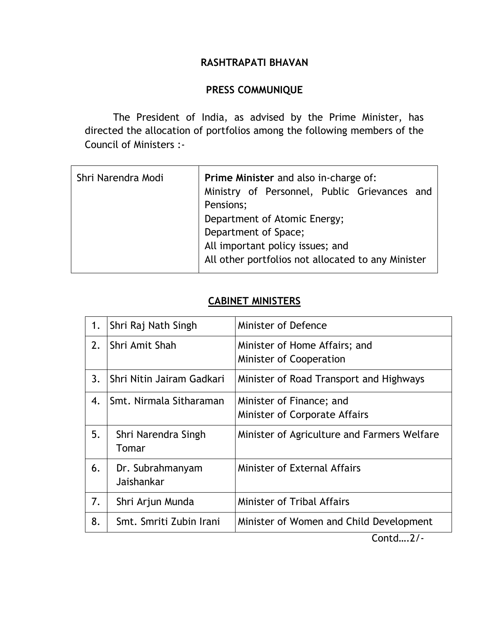#### **RASHTRAPATI BHAVAN**

#### **PRESS COMMUNIQUE**

The President of India, as advised by the Prime Minister, has directed the allocation of portfolios among the following members of the Council of Ministers :-

| Shri Narendra Modi | <b>Prime Minister and also in-charge of:</b><br>Ministry of Personnel, Public Grievances and<br>Pensions;<br>Department of Atomic Energy;<br>Department of Space;<br>All important policy issues; and<br>All other portfolios not allocated to any Minister |
|--------------------|-------------------------------------------------------------------------------------------------------------------------------------------------------------------------------------------------------------------------------------------------------------|
|                    |                                                                                                                                                                                                                                                             |

#### **CABINET MINISTERS**

| 1. | Shri Raj Nath Singh            | Minister of Defence                                             |
|----|--------------------------------|-----------------------------------------------------------------|
| 2. | Shri Amit Shah                 | Minister of Home Affairs; and<br><b>Minister of Cooperation</b> |
| 3. | Shri Nitin Jairam Gadkari      | Minister of Road Transport and Highways                         |
| 4. | Smt. Nirmala Sitharaman        | Minister of Finance; and<br>Minister of Corporate Affairs       |
| 5. | Shri Narendra Singh<br>Tomar   | Minister of Agriculture and Farmers Welfare                     |
| 6. | Dr. Subrahmanyam<br>Jaishankar | Minister of External Affairs                                    |
| 7. | Shri Arjun Munda               | Minister of Tribal Affairs                                      |
| 8. | Smt. Smriti Zubin Irani        | Minister of Women and Child Development                         |

Contd….2/-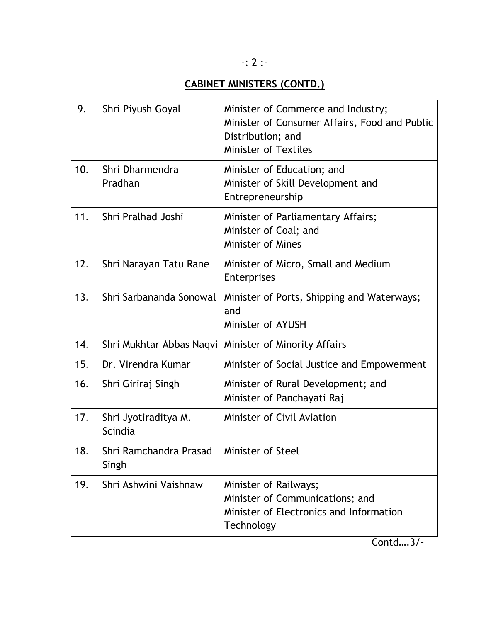### -: 2 :-

# **CABINET MINISTERS (CONTD.)**

| 9.  | Shri Piyush Goyal               | Minister of Commerce and Industry;<br>Minister of Consumer Affairs, Food and Public<br>Distribution; and<br><b>Minister of Textiles</b> |
|-----|---------------------------------|-----------------------------------------------------------------------------------------------------------------------------------------|
| 10. | Shri Dharmendra<br>Pradhan      | Minister of Education; and<br>Minister of Skill Development and<br>Entrepreneurship                                                     |
| 11. | Shri Pralhad Joshi              | Minister of Parliamentary Affairs;<br>Minister of Coal; and<br><b>Minister of Mines</b>                                                 |
| 12. | Shri Narayan Tatu Rane          | Minister of Micro, Small and Medium<br>Enterprises                                                                                      |
| 13. | Shri Sarbananda Sonowal         | Minister of Ports, Shipping and Waterways;<br>and<br>Minister of AYUSH                                                                  |
| 14. |                                 | Shri Mukhtar Abbas Naqvi   Minister of Minority Affairs                                                                                 |
| 15. | Dr. Virendra Kumar              | Minister of Social Justice and Empowerment                                                                                              |
| 16. | Shri Giriraj Singh              | Minister of Rural Development; and<br>Minister of Panchayati Raj                                                                        |
| 17. | Shri Jyotiraditya M.<br>Scindia | Minister of Civil Aviation                                                                                                              |
| 18. | Shri Ramchandra Prasad<br>Singh | Minister of Steel                                                                                                                       |
| 19. | Shri Ashwini Vaishnaw           | <b>Minister of Railways;</b><br>Minister of Communications; and<br>Minister of Electronics and Information<br>Technology                |

Contd….3/-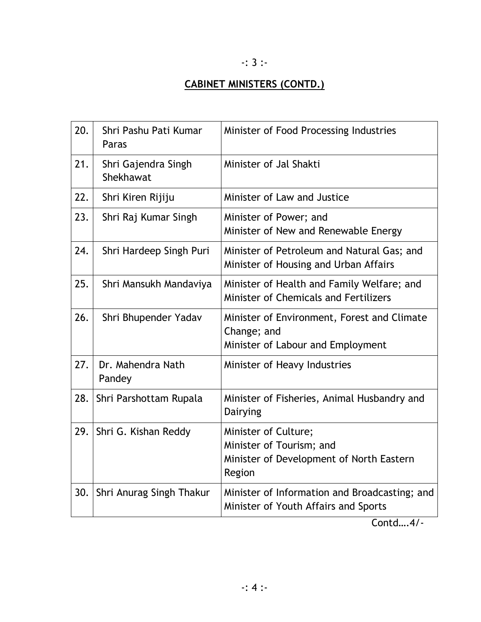#### -: 3 :-

# **CABINET MINISTERS (CONTD.)**

| 20. | Shri Pashu Pati Kumar<br>Paras   | Minister of Food Processing Industries                                                                 |
|-----|----------------------------------|--------------------------------------------------------------------------------------------------------|
| 21. | Shri Gajendra Singh<br>Shekhawat | Minister of Jal Shakti                                                                                 |
| 22. | Shri Kiren Rijiju                | Minister of Law and Justice                                                                            |
| 23. | Shri Raj Kumar Singh             | Minister of Power; and<br>Minister of New and Renewable Energy                                         |
| 24. | Shri Hardeep Singh Puri          | Minister of Petroleum and Natural Gas; and<br>Minister of Housing and Urban Affairs                    |
| 25. | Shri Mansukh Mandaviya           | Minister of Health and Family Welfare; and<br>Minister of Chemicals and Fertilizers                    |
| 26. | Shri Bhupender Yadav             | Minister of Environment, Forest and Climate<br>Change; and<br>Minister of Labour and Employment        |
| 27. | Dr. Mahendra Nath<br>Pandey      | Minister of Heavy Industries                                                                           |
| 28. | Shri Parshottam Rupala           | Minister of Fisheries, Animal Husbandry and<br>Dairying                                                |
| 29. | Shri G. Kishan Reddy             | Minister of Culture;<br>Minister of Tourism; and<br>Minister of Development of North Eastern<br>Region |
| 30. | Shri Anurag Singh Thakur         | Minister of Information and Broadcasting; and<br>Minister of Youth Affairs and Sports                  |

Contd….4/-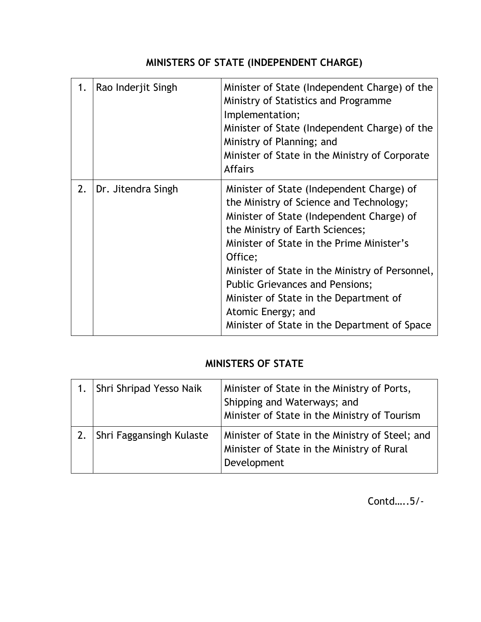# **MINISTERS OF STATE (INDEPENDENT CHARGE)**

| 1. | Rao Inderjit Singh | Minister of State (Independent Charge) of the<br>Ministry of Statistics and Programme<br>Implementation;<br>Minister of State (Independent Charge) of the<br>Ministry of Planning; and<br>Minister of State in the Ministry of Corporate<br><b>Affairs</b>                                                                                                                                                                                |
|----|--------------------|-------------------------------------------------------------------------------------------------------------------------------------------------------------------------------------------------------------------------------------------------------------------------------------------------------------------------------------------------------------------------------------------------------------------------------------------|
| 2. | Dr. Jitendra Singh | Minister of State (Independent Charge) of<br>the Ministry of Science and Technology;<br>Minister of State (Independent Charge) of<br>the Ministry of Earth Sciences;<br>Minister of State in the Prime Minister's<br>Office;<br>Minister of State in the Ministry of Personnel,<br><b>Public Grievances and Pensions;</b><br>Minister of State in the Department of<br>Atomic Energy; and<br>Minister of State in the Department of Space |

### **MINISTERS OF STATE**

| Shri Shripad Yesso Naik         | Minister of State in the Ministry of Ports,<br>Shipping and Waterways; and<br>Minister of State in the Ministry of Tourism |
|---------------------------------|----------------------------------------------------------------------------------------------------------------------------|
| <b>Shri Faggansingh Kulaste</b> | Minister of State in the Ministry of Steel; and<br>Minister of State in the Ministry of Rural<br>Development               |

Contd…..5/-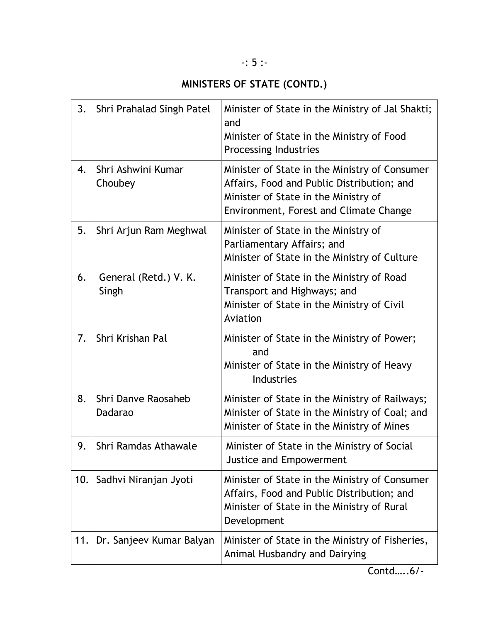#### -: 5 :-

# **MINISTERS OF STATE (CONTD.)**

| 3.  | Shri Prahalad Singh Patel      | Minister of State in the Ministry of Jal Shakti;<br>and<br>Minister of State in the Ministry of Food<br>Processing Industries                                                 |
|-----|--------------------------------|-------------------------------------------------------------------------------------------------------------------------------------------------------------------------------|
| 4.  | Shri Ashwini Kumar<br>Choubey  | Minister of State in the Ministry of Consumer<br>Affairs, Food and Public Distribution; and<br>Minister of State in the Ministry of<br>Environment, Forest and Climate Change |
| 5.  | Shri Arjun Ram Meghwal         | Minister of State in the Ministry of<br>Parliamentary Affairs; and<br>Minister of State in the Ministry of Culture                                                            |
| 6.  | General (Retd.) V. K.<br>Singh | Minister of State in the Ministry of Road<br>Transport and Highways; and<br>Minister of State in the Ministry of Civil<br>Aviation                                            |
| 7.  | Shri Krishan Pal               | Minister of State in the Ministry of Power;<br>and<br>Minister of State in the Ministry of Heavy<br>Industries                                                                |
| 8.  | Shri Danve Raosaheb<br>Dadarao | Minister of State in the Ministry of Railways;<br>Minister of State in the Ministry of Coal; and<br>Minister of State in the Ministry of Mines                                |
| 9.  | Shri Ramdas Athawale           | Minister of State in the Ministry of Social<br>Justice and Empowerment                                                                                                        |
| 10. | Sadhvi Niranjan Jyoti          | Minister of State in the Ministry of Consumer<br>Affairs, Food and Public Distribution; and<br>Minister of State in the Ministry of Rural<br>Development                      |
| 11. | Dr. Sanjeev Kumar Balyan       | Minister of State in the Ministry of Fisheries,<br>Animal Husbandry and Dairying                                                                                              |
|     |                                | Contd $.6/-$                                                                                                                                                                  |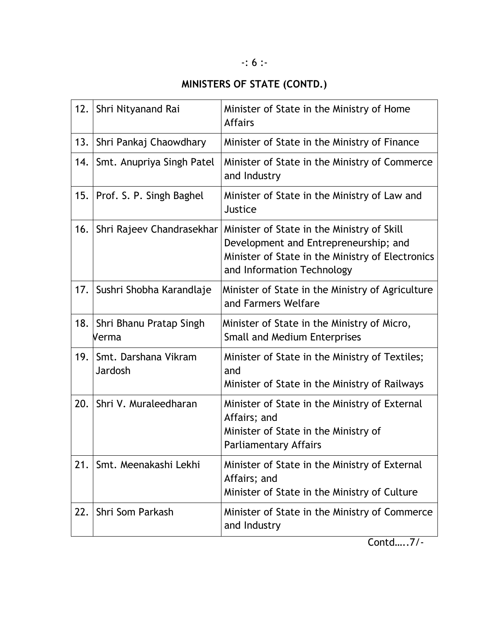#### -: 6 :-

# **MINISTERS OF STATE (CONTD.)**

| 12. | Shri Nityanand Rai               | Minister of State in the Ministry of Home<br><b>Affairs</b>                                                                                                           |
|-----|----------------------------------|-----------------------------------------------------------------------------------------------------------------------------------------------------------------------|
| 13. | Shri Pankaj Chaowdhary           | Minister of State in the Ministry of Finance                                                                                                                          |
| 14. | Smt. Anupriya Singh Patel        | Minister of State in the Ministry of Commerce<br>and Industry                                                                                                         |
| 15. | Prof. S. P. Singh Baghel         | Minister of State in the Ministry of Law and<br>Justice                                                                                                               |
| 16. | Shri Rajeev Chandrasekhar        | Minister of State in the Ministry of Skill<br>Development and Entrepreneurship; and<br>Minister of State in the Ministry of Electronics<br>and Information Technology |
|     | 17. Sushri Shobha Karandlaje     | Minister of State in the Ministry of Agriculture<br>and Farmers Welfare                                                                                               |
| 18. | Shri Bhanu Pratap Singh<br>Verma | Minister of State in the Ministry of Micro,<br><b>Small and Medium Enterprises</b>                                                                                    |
| 19. | Smt. Darshana Vikram<br>Jardosh  | Minister of State in the Ministry of Textiles;<br>and<br>Minister of State in the Ministry of Railways                                                                |
| 20. | Shri V. Muraleedharan            | Minister of State in the Ministry of External<br>Affairs; and<br>Minister of State in the Ministry of<br><b>Parliamentary Affairs</b>                                 |
| 21. | Smt. Meenakashi Lekhi            | Minister of State in the Ministry of External<br>Affairs; and<br>Minister of State in the Ministry of Culture                                                         |
| 22. | Shri Som Parkash                 | Minister of State in the Ministry of Commerce<br>and Industry                                                                                                         |

Contd…..7/-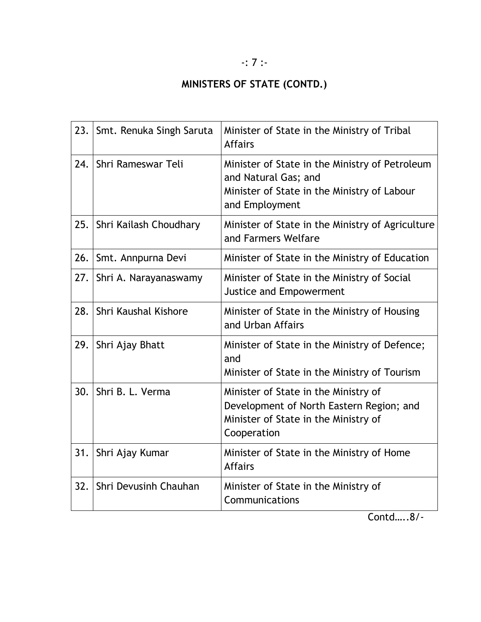### -: 7 :-

# **MINISTERS OF STATE (CONTD.)**

| 23. | Smt. Renuka Singh Saruta  | Minister of State in the Ministry of Tribal<br><b>Affairs</b>                                                                           |
|-----|---------------------------|-----------------------------------------------------------------------------------------------------------------------------------------|
| 24. | Shri Rameswar Teli        | Minister of State in the Ministry of Petroleum<br>and Natural Gas; and<br>Minister of State in the Ministry of Labour<br>and Employment |
| 25. | Shri Kailash Choudhary    | Minister of State in the Ministry of Agriculture<br>and Farmers Welfare                                                                 |
| 26. | Smt. Annpurna Devi        | Minister of State in the Ministry of Education                                                                                          |
|     | 27. Shri A. Narayanaswamy | Minister of State in the Ministry of Social<br>Justice and Empowerment                                                                  |
| 28. | Shri Kaushal Kishore      | Minister of State in the Ministry of Housing<br>and Urban Affairs                                                                       |
| 29. | Shri Ajay Bhatt           | Minister of State in the Ministry of Defence;<br>and<br>Minister of State in the Ministry of Tourism                                    |
| 30. | Shri B. L. Verma          | Minister of State in the Ministry of<br>Development of North Eastern Region; and<br>Minister of State in the Ministry of<br>Cooperation |
| 31. | Shri Ajay Kumar           | Minister of State in the Ministry of Home<br><b>Affairs</b>                                                                             |
| 32. | Shri Devusinh Chauhan     | Minister of State in the Ministry of<br>Communications                                                                                  |

Contd…..8/-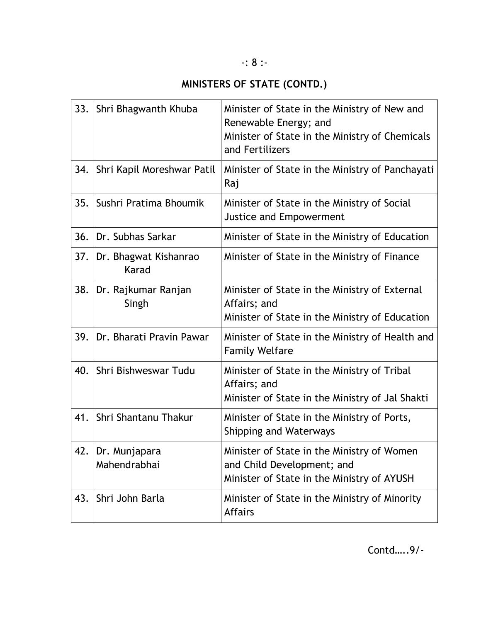#### -: 8 :-

# **MINISTERS OF STATE (CONTD.)**

| 33. | Shri Bhagwanth Khuba           | Minister of State in the Ministry of New and<br>Renewable Energy; and<br>Minister of State in the Ministry of Chemicals<br>and Fertilizers |
|-----|--------------------------------|--------------------------------------------------------------------------------------------------------------------------------------------|
| 34. | Shri Kapil Moreshwar Patil     | Minister of State in the Ministry of Panchayati<br>Raj                                                                                     |
| 35. | Sushri Pratima Bhoumik         | Minister of State in the Ministry of Social<br>Justice and Empowerment                                                                     |
| 36. | Dr. Subhas Sarkar              | Minister of State in the Ministry of Education                                                                                             |
| 37. | Dr. Bhagwat Kishanrao<br>Karad | Minister of State in the Ministry of Finance                                                                                               |
| 38. | Dr. Rajkumar Ranjan<br>Singh   | Minister of State in the Ministry of External<br>Affairs; and<br>Minister of State in the Ministry of Education                            |
| 39. | Dr. Bharati Pravin Pawar       | Minister of State in the Ministry of Health and<br><b>Family Welfare</b>                                                                   |
| 40. | Shri Bishweswar Tudu           | Minister of State in the Ministry of Tribal<br>Affairs; and<br>Minister of State in the Ministry of Jal Shakti                             |
| 41. | Shri Shantanu Thakur           | Minister of State in the Ministry of Ports,<br><b>Shipping and Waterways</b>                                                               |
| 42. | Dr. Munjapara<br>Mahendrabhai  | Minister of State in the Ministry of Women<br>and Child Development; and<br>Minister of State in the Ministry of AYUSH                     |
| 43. | Shri John Barla                | Minister of State in the Ministry of Minority<br><b>Affairs</b>                                                                            |

Contd…..9/-